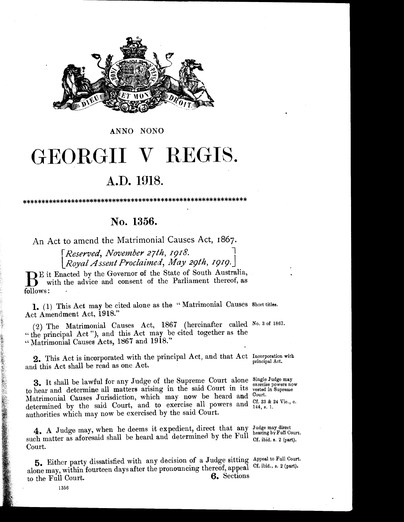

ANNO NONO

# GEORGII V REGIS.

## A.D. 1918.

## No. 1356.

An Act to amend the Matrimonial Causes Act, 1867.

Reserved, November 27th, 1918. Royal Assent Proclaimed, May 29th, 1919.

But Enacted by the Governor of the State of South Australia, with the advice and consent of the Parliament thereof, as follows:

1. (1) This Act may be cited alone as the "Matrimonial Causes Short titles. Act Amendment Act, 1918."

(2) The Matrimonial Causes Act, 1867 (hereinafter called No. 3 of 1867. "the principal Act"), and this Act may be cited together as the "Matrimonial Causes Acts, 1867 and 1918."

2. This Act is incorporated with the principal Act, and that Act Incorporation with principal Act. and this Act shall be read as one Act.

3. It shall be lawful for any Judge of the Supreme Court alone Single Judge may to hear and determine all matters arising in the said Court in its vested in Supreme Matrimonial Causes Jurisdiction, which may now be heard and Court. determined by the said Court, and to exercise all powers and  $^{Cf. 23 \& 24 \text{ Vie., c.}}$ authorities which may now be exercised by the said Court.

4. A Judge may, when he deems it expedient, direct that any Judge may direct such matter as aforesaid shall be heard and determined by the Full Court.

5. Either party dissatisfied with any decision of a Judge sitting Appeal to Full Court. alone may, within fourteen days after the pronouncing thereof, appeal Cf. ibid., s. 2 (part). 6. Sections to the Full Court.

exercise powers now

hearing by Full Court. Cf. ibid. s. 2 (part).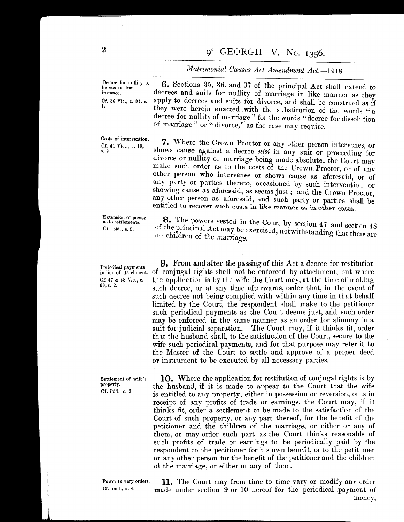*Matrimonial Causes Act Amendment Act.-1918.* 

Decree for nullity to be *tlisi* in first instance. Cf. 36 Vic., c. 31, s.

1.

Costs of intervention. Cf. 41 Viet., c. 19, s. 2.

Extension of power as to settlements. Cf. ibid., s. 3.

Periodical payments Cf. 47 & 48 Vic., c. 68, s. 2.

Settlement of wife's property. Cf. ibid., s. 3.

Power to vary orders. Of. ibid., s. 4.

6. Sections 35, 36, and 37 of the principal Act shall extend to decrees and suits for nullity of marriage in like manner as they apply to decrees and suits for divorce, and shall be construed as if they were herein enacted with the substitution of the words "a decree for nullity of marriage'' for the words "decree for dissolution of marriage" or "divorce," as the case may require.

7. Where the Crown Proctor or any other person intervenes, or shows cause against a decree *nisi* in any suit or proceeding for divorce or nullity of marriage being made absolute, the Court may make such order as to the costs of the Crown Proctor, or of any other person who intervenes or shows cause as aforesaid, or of any party or parties thereto, occasioned by such intervention or showing cause as aforesaid, as seems just; and the Crown Proctor, any other person as aforesaid, and such party or parties shall be entitled to recover such costs in like manner as in other cases.

8. The powers vested in the Court by section 47 and section 48 of the principal Act may be exercised, notwithstanding that there are no children of the marriage.

in lieu of attachment. of conjugal rights shall not be enforced by attachment, but where **9.** From and after the passing of this Act a decree for restitution the application is by the wife the Court may, at the time of making such decree, or at any time afterwards, order that, in the event of such decree not being complied with within any time in that behalf limited by the Court, the respondent shall make to the petitioner such periodical payments as the Court deems just, and such order may be enforced in the same manner as an order for alimony in a suit for judicial separation. The Court may, if it thinks fit, order that the husband shall, to the satisfaction of the Court, secure to the wife such periodical payments, and for that purpose may refer it to the Master of the Court to settle and approve of a proper deed or instrument to be executed by all necessary parties.

> 10. Where the application for restitution of conjugal rights is by the husband, if it is made to appear to the Court that the wife is entitled to any property, either in possession or reversion, or is in receipt of any profits of trade or earnings, the Court may, if it thinks fit, order a settlement to be made to the satisfaction of the Court of such property, or any part thereof, for the benefit of the petitioner and the children of the marriage, or either or any of them, or may order such part as the Court thinks reasonable of such profits of trade or earnings to be periodically paid by the respondent to the petitioner for his own benefit, or to the petitioner or any other person for the benefit of the petitioner and the children of the marriage, or either or any of them.

> 11. The Court may from time to time vary or modify any order made under section 9 or 10 hereof for the periodical .payment of money,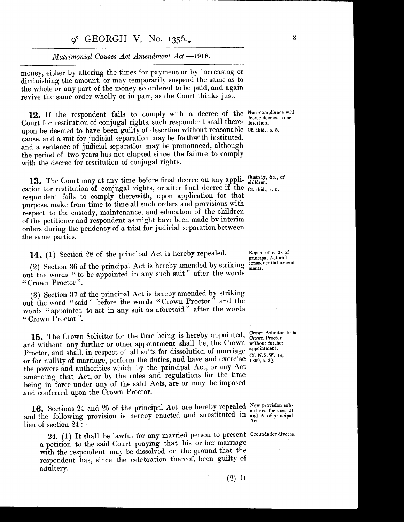#### o<sup>o</sup> GEORGII V, No. 1356.

### *Matrimonial Causes Act Amendment* Act.-1918.

money, either by altering the times for payment or by increasing or diminishing the amount, or may temporarily suspend the same as to the whole or any part of the money so ordered to be paid, and again revive the same order wholly or in part, as the Court thinks just.

12. If the respondent fails to comply with a decree of the Non-compliance with Court for restitution of conjugal rights, such respondent shall there-desertion. upon be deemed to have been guilty of desertion without reasonable Cf. ibid., s. 5. cause, and a suit for judicial separation may be forthwith instituted, and a sentence of judicial separation may be pronounced, although the period of two years has not elapsed since the failure to comply with the decree for restitution of conjugal rights.

13. The Court may at any time before final decree on any appli- Custody, &c., of cation for restitution of conjugal rights, or after final decree if the  $_{\text{Cf. ibid., s. 6}}$ . respondent fails to comply therewith, upon application for that purpose, make from time to time all such orders and provisions with respect to the custody, maintenance, and education of the children of the petitioner and respondent as might have been made by interim orders during the pendency of a trial for judicial separation between the same parties.

**14.** (1) Section 28 of the principal Act is hereby repealed.

(2) Section 36 of the principal Act is hereby amended by striking out the words "to be appointed in any such suit" after the words " Crown Proctor ".

(3) Section 37 of the principal Act is hereby amended by striking out the word " said " before the words " Crown Proctor" and the words " appointed to act in any suit as aforesaid " after the words "Crown Proctor".

15. The Crown Solicitor for the time being is hereby appointed, Crown Solicitor to be and without any further or other appointment shall be, the Crown without further Proctor, and shall, in respect of all suits for dissolution of marriage  $\frac{\text{approximate}}{\text{of N S W}}$ or for nullity of marriage, perform the duties, and have and exercise  $\frac{1899}{1899}$ , s. 30. the powers and authorities which by the principal Act, or any Act amending that Act, or by the rules and regulations for the time being in force under any of the said Acts, are or may be imposed and conferred upon the Crown Proctor.

16. Sections 24 and 25 of the principal Act are hereby repealed New provision suband the following provision is hereby enacted and substituted in  $\frac{\text{surface}}{\text{Act.}}$ lieu of section  $24:$ 

24. (1) It shall be lawful for any married person to present Grounds for divorce. a petition to the said Court praying that his or her marriage with the respondent may be dissolved on the ground that the respondent has, since the celebration thereof, been guilty of adultery.

decree deemed to be

Repeal of s. 28 of principal Act and consequential amendments.

Cf. N.S.W. 14,